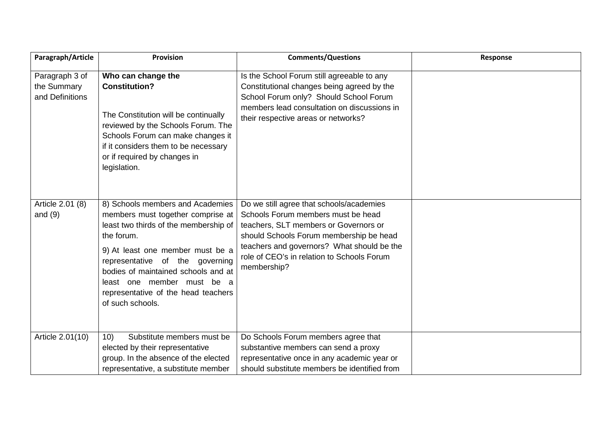| Paragraph/Article                                | <b>Provision</b>                                                                                                                                                                                                                                                                                                                    | <b>Comments/Questions</b>                                                                                                                                                                                                                                                     | Response |
|--------------------------------------------------|-------------------------------------------------------------------------------------------------------------------------------------------------------------------------------------------------------------------------------------------------------------------------------------------------------------------------------------|-------------------------------------------------------------------------------------------------------------------------------------------------------------------------------------------------------------------------------------------------------------------------------|----------|
| Paragraph 3 of<br>the Summary<br>and Definitions | Who can change the<br><b>Constitution?</b><br>The Constitution will be continually<br>reviewed by the Schools Forum. The<br>Schools Forum can make changes it<br>if it considers them to be necessary<br>or if required by changes in<br>legislation.                                                                               | Is the School Forum still agreeable to any<br>Constitutional changes being agreed by the<br>School Forum only? Should School Forum<br>members lead consultation on discussions in<br>their respective areas or networks?                                                      |          |
| Article 2.01 (8)<br>and $(9)$                    | 8) Schools members and Academies<br>members must together comprise at<br>least two thirds of the membership of<br>the forum.<br>9) At least one member must be a<br>representative of the governing<br>bodies of maintained schools and at<br>least one member must be a<br>representative of the head teachers<br>of such schools. | Do we still agree that schools/academies<br>Schools Forum members must be head<br>teachers, SLT members or Governors or<br>should Schools Forum membership be head<br>teachers and governors? What should be the<br>role of CEO's in relation to Schools Forum<br>membership? |          |
| Article 2.01(10)                                 | Substitute members must be<br>10)<br>elected by their representative<br>group. In the absence of the elected<br>representative, a substitute member                                                                                                                                                                                 | Do Schools Forum members agree that<br>substantive members can send a proxy<br>representative once in any academic year or<br>should substitute members be identified from                                                                                                    |          |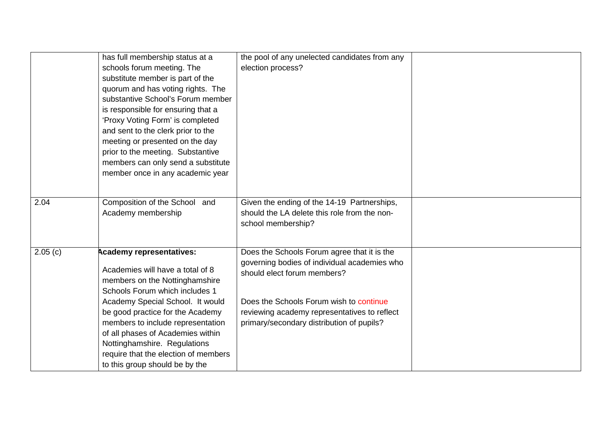|         | has full membership status at a<br>schools forum meeting. The<br>substitute member is part of the<br>quorum and has voting rights. The<br>substantive School's Forum member<br>is responsible for ensuring that a<br>'Proxy Voting Form' is completed<br>and sent to the clerk prior to the<br>meeting or presented on the day<br>prior to the meeting. Substantive<br>members can only send a substitute<br>member once in any academic year | the pool of any unelected candidates from any<br>election process?                                                                                                                                                                                                 |  |
|---------|-----------------------------------------------------------------------------------------------------------------------------------------------------------------------------------------------------------------------------------------------------------------------------------------------------------------------------------------------------------------------------------------------------------------------------------------------|--------------------------------------------------------------------------------------------------------------------------------------------------------------------------------------------------------------------------------------------------------------------|--|
| 2.04    | Composition of the School and<br>Academy membership                                                                                                                                                                                                                                                                                                                                                                                           | Given the ending of the 14-19 Partnerships,<br>should the LA delete this role from the non-<br>school membership?                                                                                                                                                  |  |
| 2.05(c) | <b>Academy representatives:</b><br>Academies will have a total of 8<br>members on the Nottinghamshire<br>Schools Forum which includes 1<br>Academy Special School. It would<br>be good practice for the Academy<br>members to include representation<br>of all phases of Academies within<br>Nottinghamshire. Regulations<br>require that the election of members<br>to this group should be by the                                           | Does the Schools Forum agree that it is the<br>governing bodies of individual academies who<br>should elect forum members?<br>Does the Schools Forum wish to continue<br>reviewing academy representatives to reflect<br>primary/secondary distribution of pupils? |  |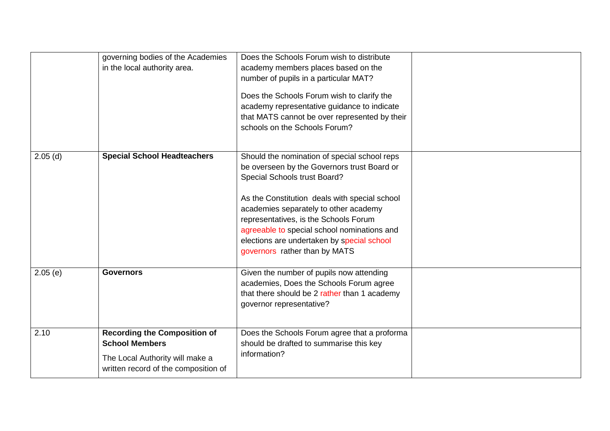|            | governing bodies of the Academies<br>in the local authority area.                                                                       | Does the Schools Forum wish to distribute<br>academy members places based on the<br>number of pupils in a particular MAT?<br>Does the Schools Forum wish to clarify the<br>academy representative guidance to indicate<br>that MATS cannot be over represented by their<br>schools on the Schools Forum?                                                                                     |  |
|------------|-----------------------------------------------------------------------------------------------------------------------------------------|----------------------------------------------------------------------------------------------------------------------------------------------------------------------------------------------------------------------------------------------------------------------------------------------------------------------------------------------------------------------------------------------|--|
| $2.05$ (d) | <b>Special School Headteachers</b>                                                                                                      | Should the nomination of special school reps<br>be overseen by the Governors trust Board or<br>Special Schools trust Board?<br>As the Constitution deals with special school<br>academies separately to other academy<br>representatives, is the Schools Forum<br>agreeable to special school nominations and<br>elections are undertaken by special school<br>governors rather than by MATS |  |
| 2.05(e)    | <b>Governors</b>                                                                                                                        | Given the number of pupils now attending<br>academies, Does the Schools Forum agree<br>that there should be 2 rather than 1 academy<br>governor representative?                                                                                                                                                                                                                              |  |
| 2.10       | <b>Recording the Composition of</b><br><b>School Members</b><br>The Local Authority will make a<br>written record of the composition of | Does the Schools Forum agree that a proforma<br>should be drafted to summarise this key<br>information?                                                                                                                                                                                                                                                                                      |  |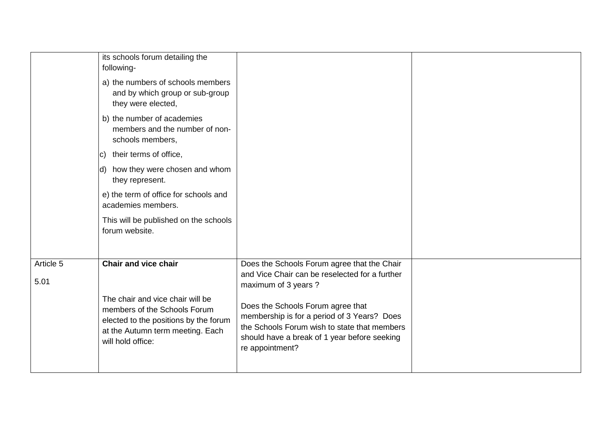|                   | its schools forum detailing the<br>following-                                                                                                                      |                                                                                                                                                                                                     |  |
|-------------------|--------------------------------------------------------------------------------------------------------------------------------------------------------------------|-----------------------------------------------------------------------------------------------------------------------------------------------------------------------------------------------------|--|
|                   | a) the numbers of schools members<br>and by which group or sub-group<br>they were elected,                                                                         |                                                                                                                                                                                                     |  |
|                   | b) the number of academies<br>members and the number of non-<br>schools members,                                                                                   |                                                                                                                                                                                                     |  |
|                   | c) their terms of office,                                                                                                                                          |                                                                                                                                                                                                     |  |
|                   | d) how they were chosen and whom<br>they represent.                                                                                                                |                                                                                                                                                                                                     |  |
|                   | e) the term of office for schools and<br>academies members.                                                                                                        |                                                                                                                                                                                                     |  |
|                   | This will be published on the schools<br>forum website.                                                                                                            |                                                                                                                                                                                                     |  |
| Article 5<br>5.01 | <b>Chair and vice chair</b>                                                                                                                                        | Does the Schools Forum agree that the Chair<br>and Vice Chair can be reselected for a further<br>maximum of 3 years ?                                                                               |  |
|                   | The chair and vice chair will be<br>members of the Schools Forum<br>elected to the positions by the forum<br>at the Autumn term meeting. Each<br>will hold office: | Does the Schools Forum agree that<br>membership is for a period of 3 Years? Does<br>the Schools Forum wish to state that members<br>should have a break of 1 year before seeking<br>re appointment? |  |